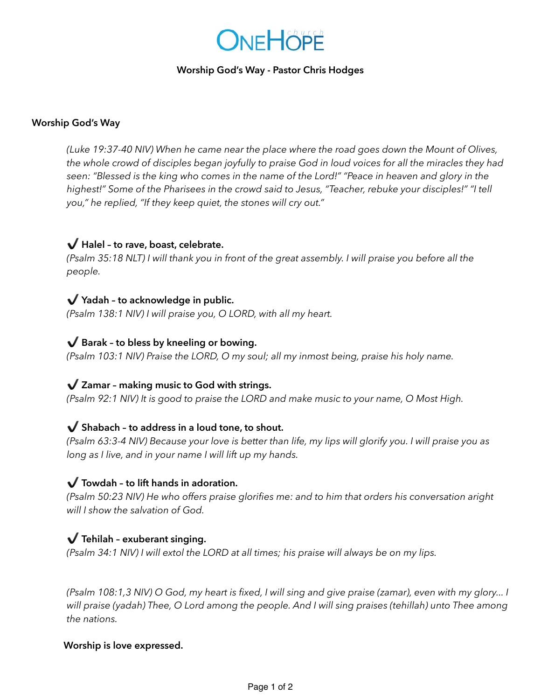# **ONE HOPE**

### **Worship God's Way - Pastor Chris Hodges**

#### **Worship God's Way**

*(Luke 19:37-40 NIV) When he came near the place where the road goes down the Mount of Olives, the whole crowd of disciples began joyfully to praise God in loud voices for all the miracles they had seen: "Blessed is the king who comes in the name of the Lord!" "Peace in heaven and glory in the highest!" Some of the Pharisees in the crowd said to Jesus, "Teacher, rebuke your disciples!" "I tell you," he replied, "If they keep quiet, the stones will cry out."* 

## ✔️ **Halel – to rave, boast, celebrate.**

*(Psalm 35:18 NLT) I will thank you in front of the great assembly. I will praise you before all the people.* 

## ✔️ **Yadah – to acknowledge in public.**

*(Psalm 138:1 NIV) I will praise you, O LORD, with all my heart.* 

## ✔️ **Barak – to bless by kneeling or bowing.**

*(Psalm 103:1 NIV) Praise the LORD, O my soul; all my inmost being, praise his holy name.* 

## ✔️ **Zamar – making music to God with strings.**

*(Psalm 92:1 NIV) It is good to praise the LORD and make music to your name, O Most High.* 

### ✔️ **Shabach – to address in a loud tone, to shout.**

*(Psalm 63:3-4 NIV) Because your love is better than life, my lips will glorify you. I will praise you as long as I live, and in your name I will lift up my hands.* 

## ✔️ **Towdah – to lift hands in adoration.**

*(Psalm 50:23 NIV) He who offers praise glorifies me: and to him that orders his conversation aright will I show the salvation of God.* 

### ✔️ **Tehilah – exuberant singing.**

*(Psalm 34:1 NIV) I will extol the LORD at all times; his praise will always be on my lips.* 

*(Psalm 108:1,3 NIV) O God, my heart is fixed, I will sing and give praise (zamar), even with my glory... I will praise (yadah) Thee, O Lord among the people. And I will sing praises (tehillah) unto Thee among the nations.* 

#### **Worship is love expressed.**